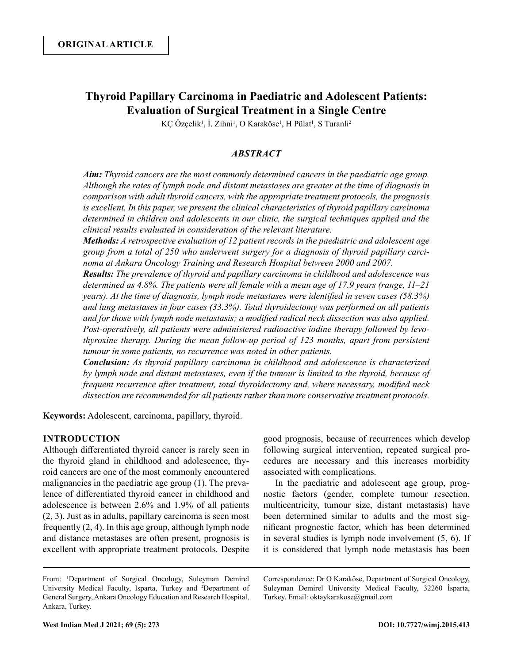# **Thyroid Papillary Carcinoma in Paediatric and Adolescent Patients: Evaluation of Surgical Treatment in a Single Centre**

KÇ Özçelik<sup>1</sup>, İ. Zihni<sup>1</sup>, O Karaköse<sup>1</sup>, H Pülat<sup>1</sup>, S Turanli<sup>2</sup>

# *ABSTRACT*

*Aim: Thyroid cancers are the most commonly determined cancers in the paediatric age group. Although the rates of lymph node and distant metastases are greater at the time of diagnosis in comparison with adult thyroid cancers, with the appropriate treatment protocols, the prognosis is excellent. In this paper, we present the clinical characteristics of thyroid papillary carcinoma determined in children and adolescents in our clinic, the surgical techniques applied and the clinical results evaluated in consideration of the relevant literature.*

*Methods: A retrospective evaluation of 12 patient records in the paediatric and adolescent age group from a total of 250 who underwent surgery for a diagnosis of thyroid papillary carcinoma at Ankara Oncology Training and Research Hospital between 2000 and 2007.* 

*Results: The prevalence of thyroid and papillary carcinoma in childhood and adolescence was determined as 4.8%. The patients were all female with a mean age of 17.9 years (range, 11–21 years). At the time of diagnosis, lymph node metastases were identified in seven cases (58.3%) and lung metastases in four cases (33.3%). Total thyroidectomy was performed on all patients and for those with lymph node metastasis; a modified radical neck dissection was also applied. Post-operatively, all patients were administered radioactive iodine therapy followed by levothyroxine therapy. During the mean follow-up period of 123 months, apart from persistent tumour in some patients, no recurrence was noted in other patients.*

*Conclusion: As thyroid papillary carcinoma in childhood and adolescence is characterized by lymph node and distant metastases, even if the tumour is limited to the thyroid, because of frequent recurrence after treatment, total thyroidectomy and, where necessary, modified neck dissection are recommended for all patients rather than more conservative treatment protocols.*

**Keywords:** Adolescent, carcinoma, papillary, thyroid.

### **INTRODUCTION**

Although differentiated thyroid cancer is rarely seen in the thyroid gland in childhood and adolescence, thyroid cancers are one of the most commonly encountered malignancies in the paediatric age group (1). The prevalence of differentiated thyroid cancer in childhood and adolescence is between 2.6% and 1.9% of all patients (2, 3). Just as in adults, papillary carcinoma is seen most frequently (2, 4). In this age group, although lymph node and distance metastases are often present, prognosis is excellent with appropriate treatment protocols. Despite good prognosis, because of recurrences which develop following surgical intervention, repeated surgical procedures are necessary and this increases morbidity associated with complications.

In the paediatric and adolescent age group, prognostic factors (gender, complete tumour resection, multicentricity, tumour size, distant metastasis) have been determined similar to adults and the most significant prognostic factor, which has been determined in several studies is lymph node involvement (5, 6). If it is considered that lymph node metastasis has been

Correspondence: Dr O Karaköse, Department of Surgical Oncology, Suleyman Demirel University Medical Faculty, 32260 İsparta, Turkey. Email: oktaykarakose@gmail.com

From: <sup>1</sup> Department of Surgical Oncology, Suleyman Demirel University Medical Faculty, Isparta, Turkey and <sup>2</sup>Department of General Surgery, Ankara Oncology Education and Research Hospital, Ankara, Turkey.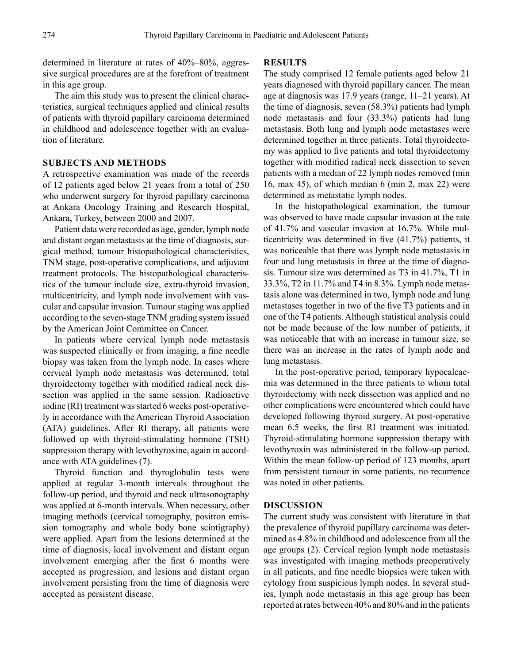determined in literature at rates of 40%–80%, aggressive surgical procedures are at the forefront of treatment in this age group.

The aim this study was to present the clinical characteristics, surgical techniques applied and clinical results of patients with thyroid papillary carcinoma determined in childhood and adolescence together with an evaluation of literature.

# **SUBJECTS AND METHODS**

A retrospective examination was made of the records of 12 patients aged below 21 years from a total of 250 who underwent surgery for thyroid papillary carcinoma at Ankara Oncology Training and Research Hospital, Ankara, Turkey, between 2000 and 2007.

Patient data were recorded as age, gender, lymph node and distant organ metastasis at the time of diagnosis, surgical method, tumour histopathological characteristics, TNM stage, post-operative complications, and adjuvant treatment protocols. The histopathological characteristics of the tumour include size, extra-thyroid invasion, multicentricity, and lymph node involvement with vascular and capsular invasion. Tumour staging was applied according to the seven-stage TNM grading system issued by the American Joint Committee on Cancer.

In patients where cervical lymph node metastasis was suspected clinically or from imaging, a fine needle biopsy was taken from the lymph node. In cases where cervical lymph node metastasis was determined, total thyroidectomy together with modified radical neck dissection was applied in the same session. Radioactive iodine (RI) treatment was started 6 weeks post-operatively in accordance with the American Thyroid Association (ATA) guidelines. After RI therapy, all patients were followed up with thyroid-stimulating hormone (TSH) suppression therapy with levothyroxine, again in accordance with ATA guidelines (7).

Thyroid function and thyroglobulin tests were applied at regular 3-month intervals throughout the follow-up period, and thyroid and neck ultrasonography was applied at 6-month intervals. When necessary, other imaging methods (cervical tomography, positron emission tomography and whole body bone scintigraphy) were applied. Apart from the lesions determined at the time of diagnosis, local involvement and distant organ involvement emerging after the first 6 months were accepted as progression, and lesions and distant organ involvement persisting from the time of diagnosis were accepted as persistent disease.

## **RESULTS**

The study comprised 12 female patients aged below 21 years diagnosed with thyroid papillary cancer. The mean age at diagnosis was 17.9 years (range, 11–21 years). At the time of diagnosis, seven (58.3%) patients had lymph node metastasis and four (33.3%) patients had lung metastasis. Both lung and lymph node metastases were determined together in three patients. Total thyroidectomy was applied to five patients and total thyroidectomy together with modified radical neck dissection to seven patients with a median of 22 lymph nodes removed (min 16, max 45), of which median 6 (min 2, max 22) were determined as metastatic lymph nodes.

In the histopathological examination, the tumour was observed to have made capsular invasion at the rate of 41.7% and vascular invasion at 16.7%. While multicentricity was determined in five (41.7%) patients, it was noticeable that there was lymph node metastasis in four and lung metastasis in three at the time of diagnosis. Tumour size was determined as T3 in 41.7%, T1 in 33.3%, T2 in 11.7% and T4 in 8.3%. Lymph node metastasis alone was determined in two, lymph node and lung metastases together in two of the five T3 patients and in one of the T4 patients. Although statistical analysis could not be made because of the low number of patients, it was noticeable that with an increase in tumour size, so there was an increase in the rates of lymph node and lung metastasis.

In the post-operative period, temporary hypocalcaemia was determined in the three patients to whom total thyroidectomy with neck dissection was applied and no other complications were encountered which could have developed following thyroid surgery. At post-operative mean 6.5 weeks, the first RI treatment was initiated. Thyroid-stimulating hormone suppression therapy with levothyroxin was administered in the follow-up period. Within the mean follow-up period of 123 months, apart from persistent tumour in some patients, no recurrence was noted in other patients.

#### **DISCUSSION**

The current study was consistent with literature in that the prevalence of thyroid papillary carcinoma was determined as 4.8% in childhood and adolescence from all the age groups (2). Cervical region lymph node metastasis was investigated with imaging methods preoperatively in all patients, and fine needle biopsies were taken with cytology from suspicious lymph nodes. In several studies, lymph node metastasis in this age group has been reported at rates between 40% and 80% and in the patients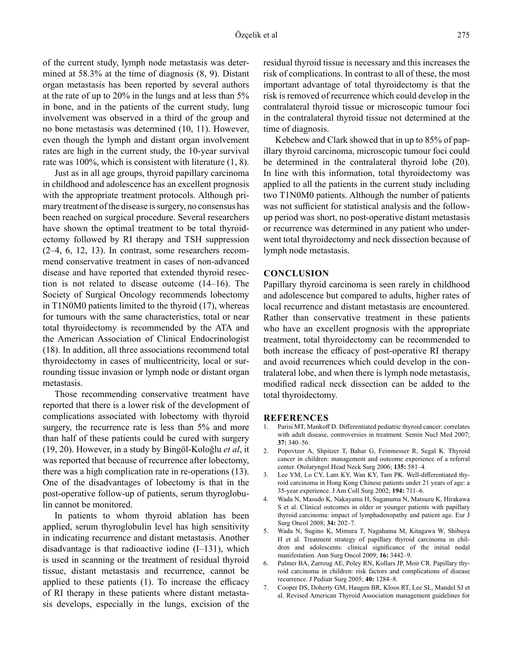of the current study, lymph node metastasis was determined at 58.3% at the time of diagnosis (8, 9). Distant organ metastasis has been reported by several authors at the rate of up to 20% in the lungs and at less than 5% in bone, and in the patients of the current study, lung involvement was observed in a third of the group and no bone metastasis was determined (10, 11). However, even though the lymph and distant organ involvement rates are high in the current study, the 10-year survival rate was 100%, which is consistent with literature (1, 8).

Just as in all age groups, thyroid papillary carcinoma in childhood and adolescence has an excellent prognosis with the appropriate treatment protocols. Although primary treatment of the disease is surgery, no consensus has been reached on surgical procedure. Several researchers have shown the optimal treatment to be total thyroidectomy followed by RI therapy and TSH suppression (2–4, 6, 12, 13). In contrast, some researchers recommend conservative treatment in cases of non-advanced disease and have reported that extended thyroid resection is not related to disease outcome (14–16). The Society of Surgical Oncology recommends lobectomy in T1N0M0 patients limited to the thyroid (17), whereas for tumours with the same characteristics, total or near total thyroidectomy is recommended by the ATA and the American Association of Clinical Endocrinologist (18). In addition, all three associations recommend total thyroidectomy in cases of multicentricity, local or surrounding tissue invasion or lymph node or distant organ metastasis.

Those recommending conservative treatment have reported that there is a lower risk of the development of complications associated with lobectomy with thyroid surgery, the recurrence rate is less than 5% and more than half of these patients could be cured with surgery (19, 20). However, in a study by Bingöl-Koloğlu *et al*, it was reported that because of recurrence after lobectomy, there was a high complication rate in re-operations (13). One of the disadvantages of lobectomy is that in the post-operative follow-up of patients, serum thyroglobulin cannot be monitored.

In patients to whom thyroid ablation has been applied, serum thyroglobulin level has high sensitivity in indicating recurrence and distant metastasis. Another disadvantage is that radioactive iodine  $(I-131)$ , which is used in scanning or the treatment of residual thyroid tissue, distant metastasis and recurrence, cannot be applied to these patients (1). To increase the efficacy of RI therapy in these patients where distant metastasis develops, especially in the lungs, excision of the

residual thyroid tissue is necessary and this increases the risk of complications. In contrast to all of these, the most important advantage of total thyroidectomy is that the risk is removed of recurrence which could develop in the contralateral thyroid tissue or microscopic tumour foci in the contralateral thyroid tissue not determined at the time of diagnosis.

Kebebew and Clark showed that in up to 85% of papillary thyroid carcinoma, microscopic tumour foci could be determined in the contralateral thyroid lobe (20). In line with this information, total thyroidectomy was applied to all the patients in the current study including two T1N0M0 patients. Although the number of patients was not sufficient for statistical analysis and the followup period was short, no post-operative distant metastasis or recurrence was determined in any patient who underwent total thyroidectomy and neck dissection because of lymph node metastasis.

#### **CONCLUSION**

Papillary thyroid carcinoma is seen rarely in childhood and adolescence but compared to adults, higher rates of local recurrence and distant metastasis are encountered. Rather than conservative treatment in these patients who have an excellent prognosis with the appropriate treatment, total thyroidectomy can be recommended to both increase the efficacy of post-operative RI therapy and avoid recurrences which could develop in the contralateral lobe, and when there is lymph node metastasis, modified radical neck dissection can be added to the total thyroidectomy.

#### **REFERENCES**

- 1. Parisi MT, Mankoff D. Differentiated pediatric thyroid cancer: correlates with adult disease, controversies in treatment. Semin Nucl Med 2007; **37:** 340–56.
- 2. Popovtzer A, Shpitzer T, Bahar G, Feinmesser R, Segal K. Thyroid cancer in children: management and outcome experience of a referral center. Otolaryngol Head Neck Surg 2006; **135:** 581–4.
- 3. Lee YM, Lo CY, Lam KY, Wan KY, Tam PK. Well-differentiated thyroid carcinoma in Hong Kong Chinese patients under 21 years of age: a 35-year experience. J Am Coll Surg 2002; **194:** 711–6.
- 4. Wada N, Masudo K, Nakayama H, Suganuma N, Matsuzu K, Hirakawa S et al. Clinical outcomes in older or younger patients with papillary thyroid carcinoma: impact of lymphadenopathy and patient age. Eur J Surg Oncol 2008; **34:** 202–7.
- 5. Wada N, Sugino K, Mimura T, Nagahama M, Kitagawa W, Shibuya H et al. Treatment strategy of papillary thyroid carcinoma in children and adolescents: clinical significance of the initial nodal manifestation. Ann Surg Oncol 2009; **16:** 3442–9.
- 6. Palmer BA, Zarroug AE, Poley RN, Kollars JP, Moir CR. Papillary thyroid carcinoma in children: risk factors and complications of disease recurrence. J Pediatr Surg 2005; **40:** 1284–8.
- 7. Cooper DS, Doherty GM, Haugen BR, Kloos RT, Lee SL, Mandel SJ et al. Revised American Thyroid Association management guidelines for